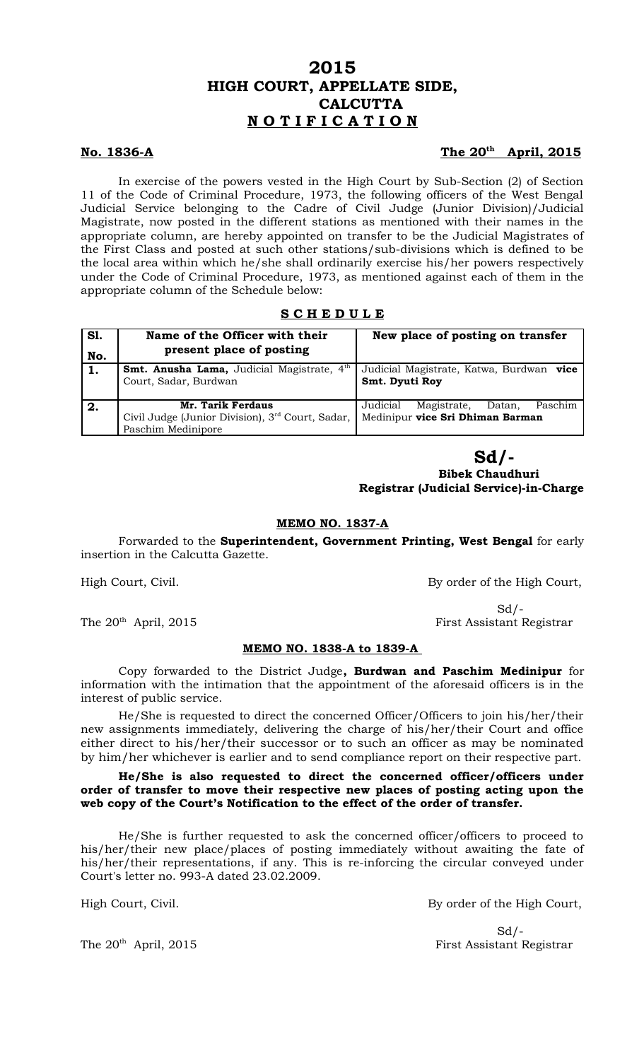# **No. 1836-A**

# The 20<sup>th</sup> April, 2015

In exercise of the powers vested in the High Court by Sub-Section (2) of Section 11 of the Code of Criminal Procedure, 1973, the following officers of the West Bengal Judicial Service belonging to the Cadre of Civil Judge (Junior Division)/Judicial Magistrate, now posted in the different stations as mentioned with their names in the appropriate column, are hereby appointed on transfer to be the Judicial Magistrates of the First Class and posted at such other stations/sub-divisions which is defined to be the local area within which he/she shall ordinarily exercise his/her powers respectively under the Code of Criminal Procedure, 1973, as mentioned against each of them in the appropriate column of the Schedule below:

# **S C H E D U L E**

| <b>S1.</b><br>No. | Name of the Officer with their<br>present place of posting                                              | New place of posting on transfer                                                 |
|-------------------|---------------------------------------------------------------------------------------------------------|----------------------------------------------------------------------------------|
|                   | <b>Smt. Anusha Lama,</b> Judicial Magistrate, 4 <sup>th</sup><br>Court, Sadar, Burdwan                  | Judicial Magistrate, Katwa, Burdwan vice<br>Smt. Dyuti Roy                       |
| 2.                | Mr. Tarik Ferdaus<br>Civil Judge (Junior Division), 3 <sup>rd</sup> Court, Sadar,<br>Paschim Medinipore | Magistrate,<br>Paschim<br>Datan,<br>Judicial<br>Medinipur vice Sri Dhiman Barman |

# **Sd/-**

 **Bibek Chaudhuri Registrar (Judicial Service)-in-Charge**

# **MEMO NO. 1837-A**

Forwarded to the **Superintendent, Government Printing, West Bengal** for early insertion in the Calcutta Gazette.

High Court, Civil. By order of the High Court,

The 20<sup>th</sup> April, 2015 **First Assistant Registrar** 

### **MEMO NO. 1838-A to 1839-A**

Copy forwarded to the District Judge**, Burdwan and Paschim Medinipur** for information with the intimation that the appointment of the aforesaid officers is in the interest of public service.

He/She is requested to direct the concerned Officer/Officers to join his/her/their new assignments immediately, delivering the charge of his/her/their Court and office either direct to his/her/their successor or to such an officer as may be nominated by him/her whichever is earlier and to send compliance report on their respective part.

## **He/She is also requested to direct the concerned officer/officers under order of transfer to move their respective new places of posting acting upon the web copy of the Court's Notification to the effect of the order of transfer.**

He/She is further requested to ask the concerned officer/officers to proceed to his/her/their new place/places of posting immediately without awaiting the fate of his/her/their representations, if any. This is re-inforcing the circular conveyed under Court's letter no. 993-A dated 23.02.2009.

High Court, Civil. **By order of the High Court**,

 $Sd$  /-The 20<sup>th</sup> April, 2015 First Assistant Registrar

 $Sd$  /-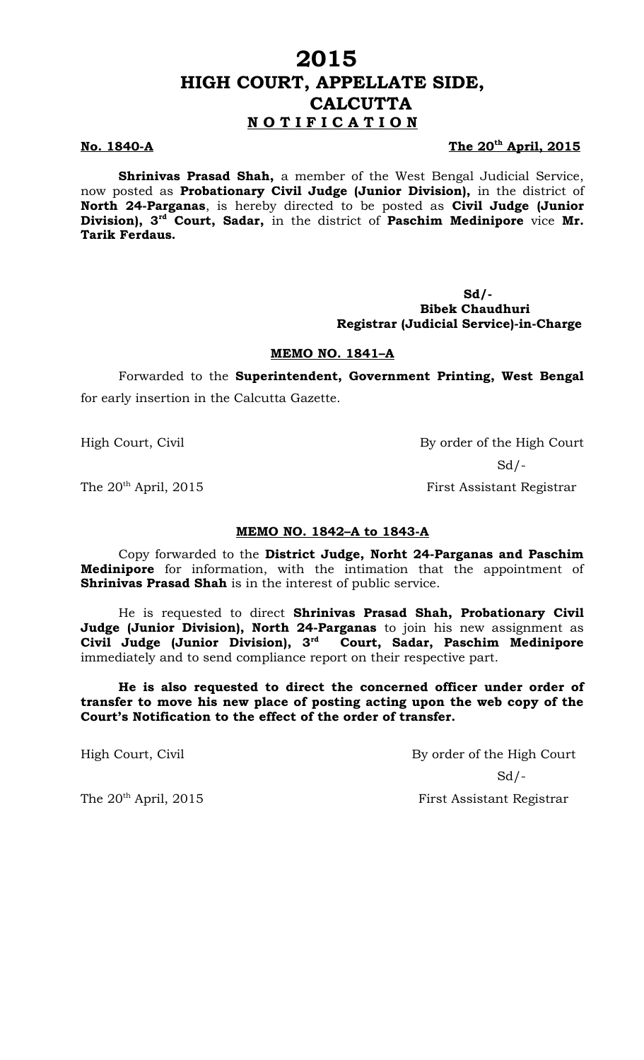# **No. 1840-A**

### The 20<sup>th</sup> April, 2015

**Shrinivas Prasad Shah,** a member of the West Bengal Judicial Service, now posted as **Probationary Civil Judge (Junior Division),** in the district of **North 24-Parganas**, is hereby directed to be posted as **Civil Judge (Junior Division), 3rd Court, Sadar,** in the district of **Paschim Medinipore** vice **Mr. Tarik Ferdaus.**

> **Sd/- Bibek Chaudhuri Registrar (Judicial Service)-in-Charge**

## **MEMO NO. 1841–A**

Forwarded to the **Superintendent, Government Printing, West Bengal** for early insertion in the Calcutta Gazette.

High Court, Civil By order of the High Court  $Sd$  /-

The 20<sup>th</sup> April, 2015 First Assistant Registrar

# **MEMO NO. 1842–A to 1843-A**

Copy forwarded to the **District Judge, Norht 24-Parganas and Paschim Medinipore** for information, with the intimation that the appointment of **Shrinivas Prasad Shah** is in the interest of public service.

He is requested to direct **Shrinivas Prasad Shah, Probationary Civil Judge (Junior Division), North 24-Parganas** to join his new assignment as **Civil Judge (Junior Division), 3rd Court, Sadar, Paschim Medinipore** immediately and to send compliance report on their respective part.

**He is also requested to direct the concerned officer under order of transfer to move his new place of posting acting upon the web copy of the Court's Notification to the effect of the order of transfer.** 

High Court, Civil By order of the High Court  $Sd$  /-The 20<sup>th</sup> April, 2015 First Assistant Registrar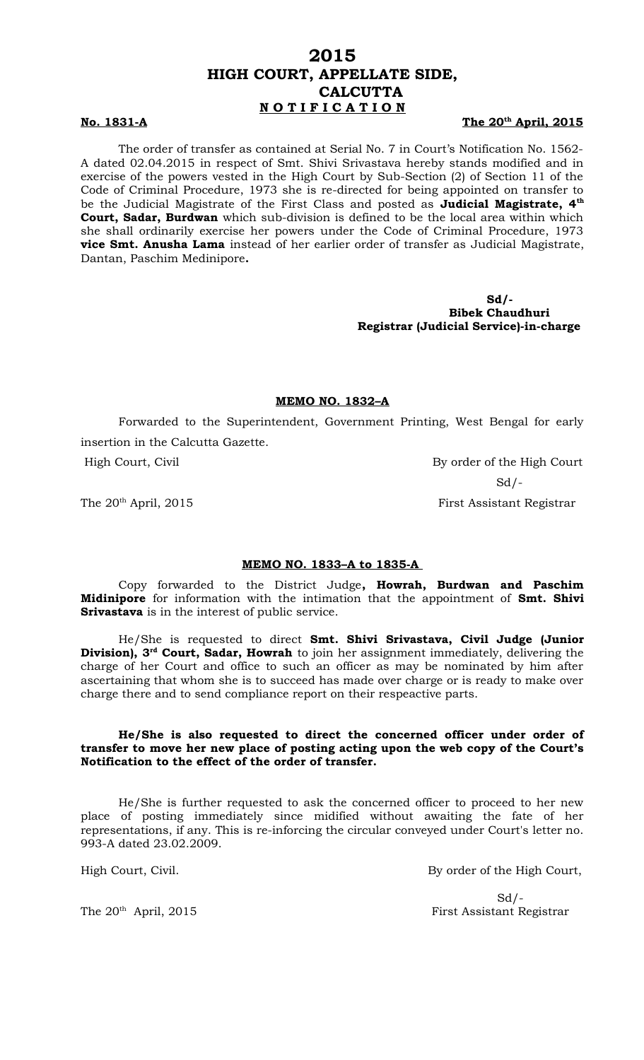#### **No. 1831-A The 20th**

The 20<sup>th</sup> April, 2015

The order of transfer as contained at Serial No. 7 in Court's Notification No. 1562- A dated 02.04.2015 in respect of Smt. Shivi Srivastava hereby stands modified and in exercise of the powers vested in the High Court by Sub-Section (2) of Section 11 of the Code of Criminal Procedure, 1973 she is re-directed for being appointed on transfer to be the Judicial Magistrate of the First Class and posted as **Judicial Magistrate, 4th Court, Sadar, Burdwan** which sub-division is defined to be the local area within which she shall ordinarily exercise her powers under the Code of Criminal Procedure, 1973 **vice Smt. Anusha Lama** instead of her earlier order of transfer as Judicial Magistrate, Dantan, Paschim Medinipore**.** 

> **Sd/- Bibek Chaudhuri Registrar (Judicial Service)-in-charge**

## **MEMO NO. 1832–A**

Forwarded to the Superintendent, Government Printing, West Bengal for early insertion in the Calcutta Gazette.

High Court, Civil By order of the High Court  $Sd$  /-

The 20<sup>th</sup> April, 2015 **First Assistant Registrar** 

#### **MEMO NO. 1833–A to 1835-A**

Copy forwarded to the District Judge**, Howrah, Burdwan and Paschim Midinipore** for information with the intimation that the appointment of **Smt. Shivi Srivastava** is in the interest of public service.

He/She is requested to direct **Smt. Shivi Srivastava, Civil Judge (Junior Division), 3rd Court, Sadar, Howrah** to join her assignment immediately, delivering the charge of her Court and office to such an officer as may be nominated by him after ascertaining that whom she is to succeed has made over charge or is ready to make over charge there and to send compliance report on their respeactive parts.

### **He/She is also requested to direct the concerned officer under order of transfer to move her new place of posting acting upon the web copy of the Court's Notification to the effect of the order of transfer.**

He/She is further requested to ask the concerned officer to proceed to her new place of posting immediately since midified without awaiting the fate of her representations, if any. This is re-inforcing the circular conveyed under Court's letter no. 993-A dated 23.02.2009.

High Court, Civil. **By order of the High Court,** 

 $Sd$  /-The 20<sup>th</sup> April, 2015 First Assistant Registrar